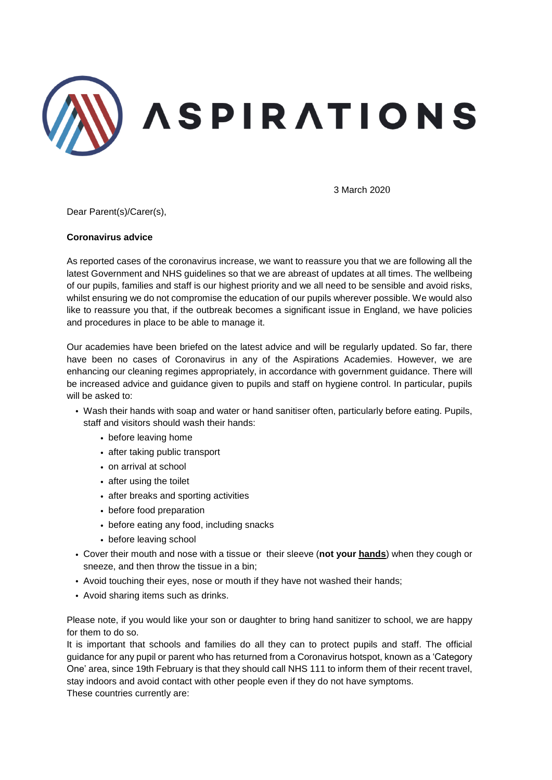

3 March 2020

Dear Parent(s)/Carer(s),

## **Coronavirus advice**

As reported cases of the coronavirus increase, we want to reassure you that we are following all the latest Government and NHS guidelines so that we are abreast of updates at all times. The wellbeing of our pupils, families and staff is our highest priority and we all need to be sensible and avoid risks, whilst ensuring we do not compromise the education of our pupils wherever possible. We would also like to reassure you that, if the outbreak becomes a significant issue in England, we have policies and procedures in place to be able to manage it.

Our academies have been briefed on the latest advice and will be regularly updated. So far, there have been no cases of Coronavirus in any of the Aspirations Academies. However, we are enhancing our cleaning regimes appropriately, in accordance with government guidance. There will be increased advice and guidance given to pupils and staff on hygiene control. In particular, pupils will be asked to:

- Wash their hands with soap and water or hand sanitiser often, particularly before eating. Pupils, staff and visitors should wash their hands:
	- before leaving home
	- after taking public transport
	- on arrival at school
	- after using the toilet
	- after breaks and sporting activities
	- before food preparation
	- before eating any food, including snacks
	- before leaving school
- Cover their mouth and nose with a tissue or their sleeve (**not your hands**) when they cough or sneeze, and then throw the tissue in a bin;
- Avoid touching their eyes, nose or mouth if they have not washed their hands;
- Avoid sharing items such as drinks.

Please note, if you would like your son or daughter to bring hand sanitizer to school, we are happy for them to do so.

It is important that schools and families do all they can to protect pupils and staff. The official guidance for any pupil or parent who has returned from a Coronavirus hotspot, known as a 'Category One' area, since 19th February is that they should call NHS 111 to inform them of their recent travel, stay indoors and avoid contact with other people even if they do not have symptoms. These countries currently are: